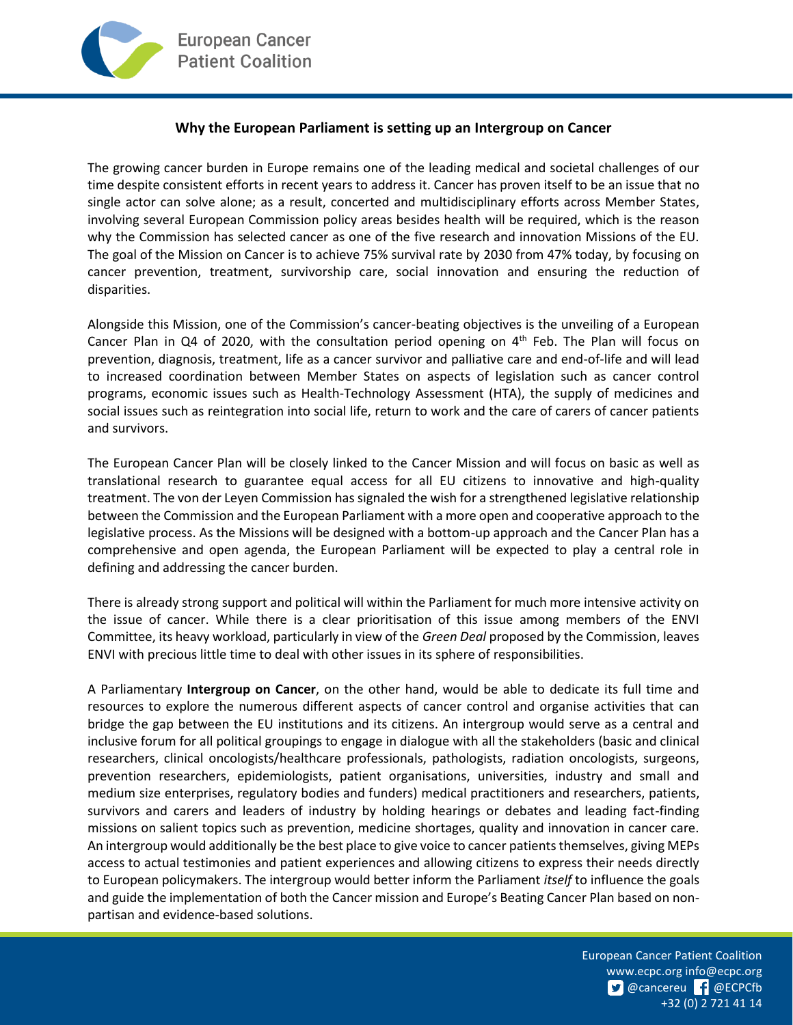## **Why the European Parliament is setting up an Intergroup on Cancer**

The growing cancer burden in Europe remains one of the leading medical and societal challenges of our time despite consistent efforts in recent years to address it. Cancer has proven itself to be an issue that no single actor can solve alone; as a result, concerted and multidisciplinary efforts across Member States, involving several European Commission policy areas besides health will be required, which is the reason why the Commission has selected cancer as one of the five research and innovation Missions of the EU. The goal of the Mission on Cancer is to achieve 75% survival rate by 2030 from 47% today, by focusing on cancer prevention, treatment, survivorship care, social innovation and ensuring the reduction of disparities.

Alongside this Mission, one of the Commission's cancer-beating objectives is the unveiling of a European Cancer Plan in Q4 of 2020, with the consultation period opening on 4<sup>th</sup> Feb. The Plan will focus on prevention, diagnosis, treatment, life as a cancer survivor and palliative care and end-of-life and will lead to increased coordination between Member States on aspects of legislation such as cancer control programs, economic issues such as Health-Technology Assessment (HTA), the supply of medicines and social issues such as reintegration into social life, return to work and the care of carers of cancer patients and survivors.

The European Cancer Plan will be closely linked to the Cancer Mission and will focus on basic as well as translational research to guarantee equal access for all EU citizens to innovative and high-quality treatment. The von der Leyen Commission has signaled the wish for a strengthened legislative relationship between the Commission and the European Parliament with a more open and cooperative approach to the legislative process. As the Missions will be designed with a bottom-up approach and the Cancer Plan has a comprehensive and open agenda, the European Parliament will be expected to play a central role in defining and addressing the cancer burden.

There is already strong support and political will within the Parliament for much more intensive activity on the issue of cancer. While there is a clear prioritisation of this issue among members of the ENVI Committee, its heavy workload, particularly in view of the *Green Deal* proposed by the Commission, leaves ENVI with precious little time to deal with other issues in its sphere of responsibilities.

A Parliamentary **Intergroup on Cancer**, on the other hand, would be able to dedicate its full time and resources to explore the numerous different aspects of cancer control and organise activities that can bridge the gap between the EU institutions and its citizens. An intergroup would serve as a central and inclusive forum for all political groupings to engage in dialogue with all the stakeholders (basic and clinical researchers, clinical oncologists/healthcare professionals, pathologists, radiation oncologists, surgeons, prevention researchers, epidemiologists, patient organisations, universities, industry and small and medium size enterprises, regulatory bodies and funders) medical practitioners and researchers, patients, survivors and carers and leaders of industry by holding hearings or debates and leading fact-finding missions on salient topics such as prevention, medicine shortages, quality and innovation in cancer care. An intergroup would additionally be the best place to give voice to cancer patients themselves, giving MEPs access to actual testimonies and patient experiences and allowing citizens to express their needs directly to European policymakers. The intergroup would better inform the Parliament *itself* to influence the goals and guide the implementation of both the Cancer mission and Europe's Beating Cancer Plan based on nonpartisan and evidence-based solutions.

> European Cancer Patient Coalition [www.ecpc.org](http://www.ecpc.org/) [info@ecpc.org](mailto:info@ecpc.org) **D** [@cancereu](https://twitter.com/cancereu/) **f** [@ECPCfb](https://www.facebook.com/ECPCfb/) +32 (0) 2 721 41 14